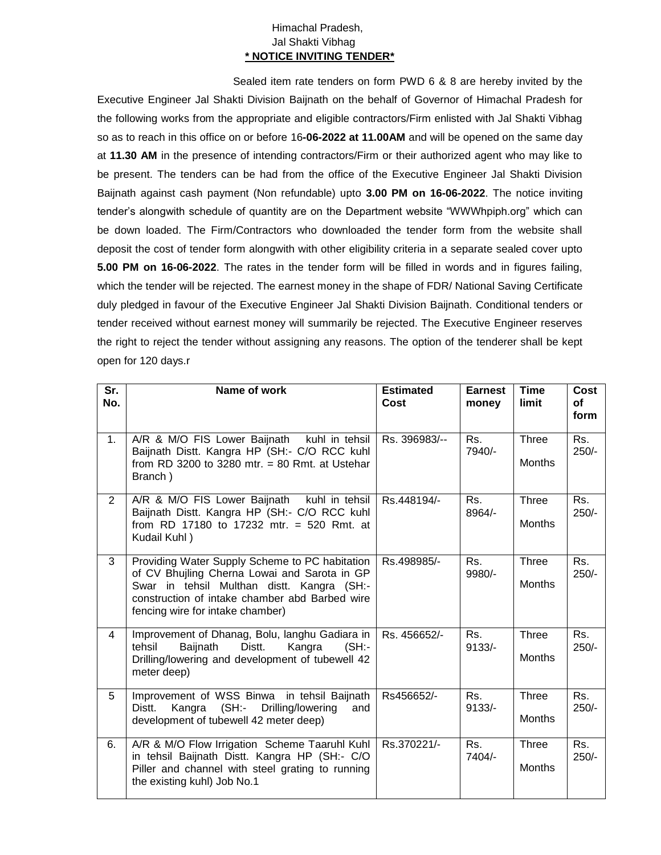## Himachal Pradesh, Jal Shakti Vibhag **\* NOTICE INVITING TENDER\***

Sealed item rate tenders on form PWD 6 & 8 are hereby invited by the Executive Engineer Jal Shakti Division Baijnath on the behalf of Governor of Himachal Pradesh for the following works from the appropriate and eligible contractors/Firm enlisted with Jal Shakti Vibhag so as to reach in this office on or before 16**-06-2022 at 11.00AM** and will be opened on the same day at **11.30 AM** in the presence of intending contractors/Firm or their authorized agent who may like to be present. The tenders can be had from the office of the Executive Engineer Jal Shakti Division Baijnath against cash payment (Non refundable) upto **3.00 PM on 16-06-2022**. The notice inviting tender's alongwith schedule of quantity are on the Department website "WWWhpiph.org" which can be down loaded. The Firm/Contractors who downloaded the tender form from the website shall deposit the cost of tender form alongwith with other eligibility criteria in a separate sealed cover upto **5.00 PM on 16-06-2022**. The rates in the tender form will be filled in words and in figures failing, which the tender will be rejected. The earnest money in the shape of FDR/ National Saving Certificate duly pledged in favour of the Executive Engineer Jal Shakti Division Baijnath. Conditional tenders or tender received without earnest money will summarily be rejected. The Executive Engineer reserves the right to reject the tender without assigning any reasons. The option of the tenderer shall be kept open for 120 days.r

| Sr.<br>No.     | Name of work                                                                                                                                                                                                                       | <b>Estimated</b><br>Cost | <b>Earnest</b><br>money | <b>Time</b><br>limit          | Cost<br><b>of</b><br>form |
|----------------|------------------------------------------------------------------------------------------------------------------------------------------------------------------------------------------------------------------------------------|--------------------------|-------------------------|-------------------------------|---------------------------|
| 1.             | A/R & M/O FIS Lower Baijnath kuhl in tehsil<br>Baijnath Distt. Kangra HP (SH:- C/O RCC kuhl<br>from RD 3200 to 3280 mtr. $= 80$ Rmt. at Ustehar<br>Branch)                                                                         | Rs. 396983/--            | Rs.<br>7940/-           | <b>Three</b><br><b>Months</b> | Rs.<br>$250/-$            |
| $\overline{2}$ | A/R & M/O FIS Lower Baijnath<br>kuhl in tehsil<br>Baijnath Distt. Kangra HP (SH:- C/O RCC kuhl<br>from RD 17180 to 17232 mtr. = 520 Rmt. at<br>Kudail Kuhl)                                                                        | Rs.448194/-              | Rs.<br>8964/-           | <b>Three</b><br>Months        | Rs.<br>$250/-$            |
| 3              | Providing Water Supply Scheme to PC habitation<br>of CV Bhujling Cherna Lowai and Sarota in GP<br>Swar in tehsil Multhan distt. Kangra (SH:-<br>construction of intake chamber abd Barbed wire<br>fencing wire for intake chamber) | Rs.498985/-              | Rs.<br>9980/-           | <b>Three</b><br><b>Months</b> | Rs.<br>$250/-$            |
| 4              | Improvement of Dhanag, Bolu, langhu Gadiara in<br>Baijnath<br>$(SH)$ -<br>tehsil<br>Distt.<br>Kangra<br>Drilling/lowering and development of tubewell 42<br>meter deep)                                                            | Rs. 456652/-             | Rs.<br>$9133/-$         | Three<br><b>Months</b>        | Rs.<br>$250/-$            |
| 5              | Improvement of WSS Binwa in tehsil Baijnath<br>Kangra (SH:- Drilling/lowering<br>Distt.<br>and<br>development of tubewell 42 meter deep)                                                                                           | Rs456652/-               | Rs.<br>$9133/-$         | <b>Three</b><br><b>Months</b> | Rs.<br>$250/-$            |
| 6.             | A/R & M/O Flow Irrigation Scheme Taaruhl Kuhl<br>in tehsil Baijnath Distt. Kangra HP (SH:- C/O<br>Piller and channel with steel grating to running<br>the existing kuhl) Job No.1                                                  | Rs.370221/-              | Rs.<br>7404/-           | <b>Three</b><br><b>Months</b> | Rs.<br>$250/-$            |